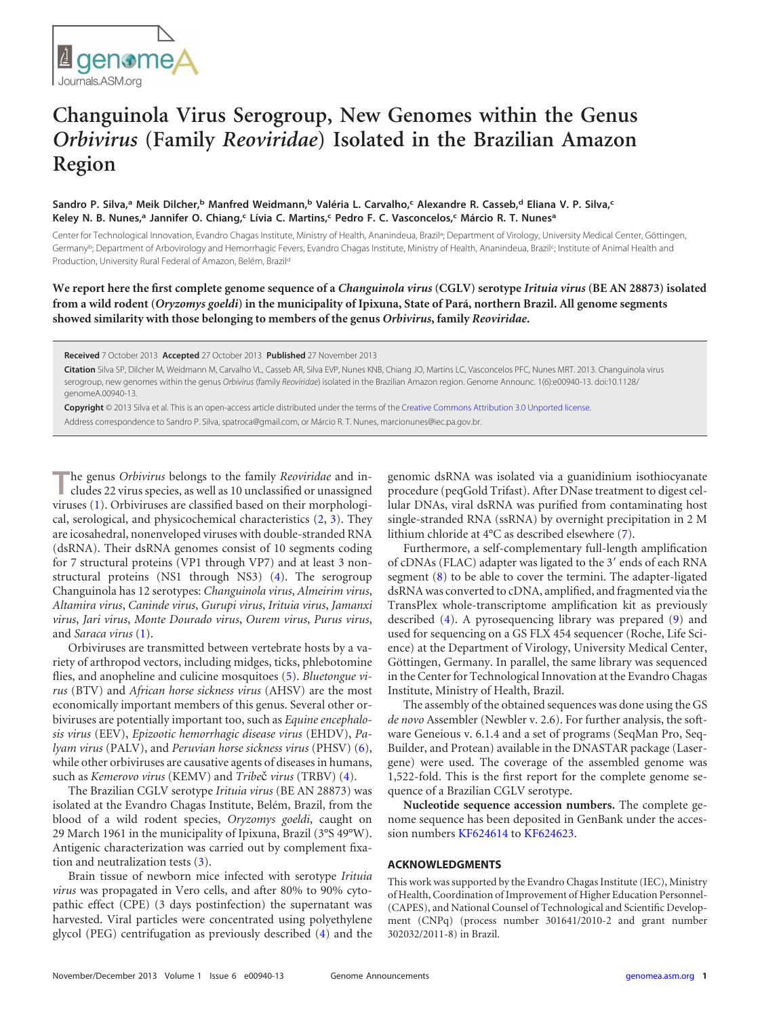

## **Changuinola Virus Serogroup, New Genomes within the Genus** *Orbivirus* **(Family** *Reoviridae***) Isolated in the Brazilian Amazon Region**

## **Sandro P. Silva, <sup>a</sup> Meik Dilcher, <sup>b</sup> Manfred Weidmann, <sup>b</sup> Valéria L. Carvalho, <sup>c</sup> Alexandre R. Casseb, <sup>d</sup> Eliana V. P. Silva, c Keley N. B. Nunes, <sup>a</sup> Jannifer O. Chiang, <sup>c</sup> Lívia C. Martins, <sup>c</sup> Pedro F. C. Vasconcelos, <sup>c</sup> Márcio R. T. Nunesa**

Center for Technological Innovation, Evandro Chagas Institute, Ministry of Health, Ananindeua, Brazil<sup>a</sup>; Department of Virology, University Medical Center, Göttingen, Germany<sup>b</sup>; Department of Arbovirology and Hemorrhagic Fevers, Evandro Chagas Institute, Ministry of Health, Ananindeua, Brazil<sup>c</sup>; Institute of Animal Health and Production, University Rural Federal of Amazon, Belém, Brazild

**We report here the first complete genome sequence of a** *Changuinola virus* **(CGLV) serotype** *Irituia virus* **(BE AN 28873) isolated from a wild rodent (***Oryzomys goeldi***) in the municipality of Ipixuna, State of Pará, northern Brazil. All genome segments showed similarity with those belonging to members of the genus** *Orbivirus***, family** *Reoviridae***.**

**Received** 7 October 2013 **Accepted** 27 October 2013 **Published** 27 November 2013

**Citation** Silva SP, Dilcher M, Weidmann M, Carvalho VL, Casseb AR, Silva EVP, Nunes KNB, Chiang JO, Martins LC, Vasconcelos PFC, Nunes MRT. 2013. Changuinola virus serogroup, new genomes within the genus *Orbivirus* (family *Reoviridae*) isolated in the Brazilian Amazon region. Genome Announc. 1(6):e00940-13. doi:10.1128/ genomeA.00940-13.

**Copyright** © 2013 Silva et al. This is an open-access article distributed under the terms of the [Creative Commons Attribution 3.0 Unported license.](http://creativecommons.org/licenses/by/3.0/) Address correspondence to Sandro P. Silva, spatroca@gmail.com, or Márcio R. T. Nunes, marcionunes@iec.pa.gov.br.

**T**he genus *Orbivirus* belongs to the family *Reoviridae* and in-cludes 22 virus species, as well as 10 unclassified or unassigned viruses [\(1\)](#page-1-0). Orbiviruses are classified based on their morphological, serological, and physicochemical characteristics [\(2,](#page-1-1) [3\)](#page-1-2). They are icosahedral, nonenveloped viruses with double-stranded RNA (dsRNA). Their dsRNA genomes consist of 10 segments coding for 7 structural proteins (VP1 through VP7) and at least 3 nonstructural proteins (NS1 through NS3) [\(4\)](#page-1-3). The serogroup Changuinola has 12 serotypes: *Changuinola virus*, *Almeirim virus*, *Altamira virus*, *Caninde virus*, *Gurupi virus*, *Irituia virus*, *Jamanxi virus*, *Jari virus*, *Monte Dourado virus*, *Ourem virus*, *Purus virus*, and *Saraca virus* [\(1\)](#page-1-0).

Orbiviruses are transmitted between vertebrate hosts by a variety of arthropod vectors, including midges, ticks, phlebotomine flies, and anopheline and culicine mosquitoes [\(5\)](#page-1-4). *Bluetongue virus* (BTV) and *African horse sickness virus* (AHSV) are the most economically important members of this genus. Several other orbiviruses are potentially important too, such as *Equine encephalosis virus* (EEV), *Epizootic hemorrhagic disease virus* (EHDV), *Palyam virus* (PALV), and *Peruvian horse sickness virus* (PHSV) [\(6\)](#page-1-5), while other orbiviruses are causative agents of diseases in humans, such as *Kemerovo virus* (KEMV) and *Tribe*č *virus* (TRBV) [\(4\)](#page-1-3).

The Brazilian CGLV serotype *Irituia virus* (BE AN 28873) was isolated at the Evandro Chagas Institute, Belém, Brazil, from the blood of a wild rodent species, *Oryzomys goeldi*, caught on 29 March 1961 in the municipality of Ipixuna, Brazil (3°S 49°W). Antigenic characterization was carried out by complement fixation and neutralization tests  $(3)$ .

Brain tissue of newborn mice infected with serotype *Irituia virus* was propagated in Vero cells, and after 80% to 90% cytopathic effect (CPE) (3 days postinfection) the supernatant was harvested. Viral particles were concentrated using polyethylene glycol (PEG) centrifugation as previously described [\(4\)](#page-1-3) and the genomic dsRNA was isolated via a guanidinium isothiocyanate procedure (peqGold Trifast). After DNase treatment to digest cellular DNAs, viral dsRNA was purified from contaminating host single-stranded RNA (ssRNA) by overnight precipitation in 2 M lithium chloride at 4°C as described elsewhere [\(7\)](#page-1-6).

Furthermore, a self-complementary full-length amplification of cDNAs (FLAC) adapter was ligated to the 3' ends of each RNA segment [\(8\)](#page-1-7) to be able to cover the termini. The adapter-ligated dsRNA was converted to cDNA, amplified, and fragmented via the TransPlex whole-transcriptome amplification kit as previously described [\(4\)](#page-1-3). A pyrosequencing library was prepared [\(9\)](#page-1-8) and used for sequencing on a GS FLX 454 sequencer (Roche, Life Science) at the Department of Virology, University Medical Center, Göttingen, Germany. In parallel, the same library was sequenced in the Center for Technological Innovation at the Evandro Chagas Institute, Ministry of Health, Brazil.

The assembly of the obtained sequences was done using the GS *de novo* Assembler (Newbler v. 2.6). For further analysis, the software Geneious v. 6.1.4 and a set of programs (SeqMan Pro, Seq-Builder, and Protean) available in the DNASTAR package (Lasergene) were used. The coverage of the assembled genome was 1,522-fold. This is the first report for the complete genome sequence of a Brazilian CGLV serotype.

**Nucleotide sequence accession numbers.** The complete genome sequence has been deposited in GenBank under the accession numbers [KF624614](http://www.ncbi.nlm.nih.gov/nuccore?term=KF624614) to [KF624623.](http://www.ncbi.nlm.nih.gov/nuccore?term=KF624623)

## **ACKNOWLEDGMENTS**

This work was supported by the Evandro Chagas Institute (IEC), Ministry of Health, Coordination of Improvement of Higher Education Personnel- (CAPES), and National Counsel of Technological and Scientific Development (CNPq) (process number 301641/2010-2 and grant number 302032/2011-8) in Brazil.